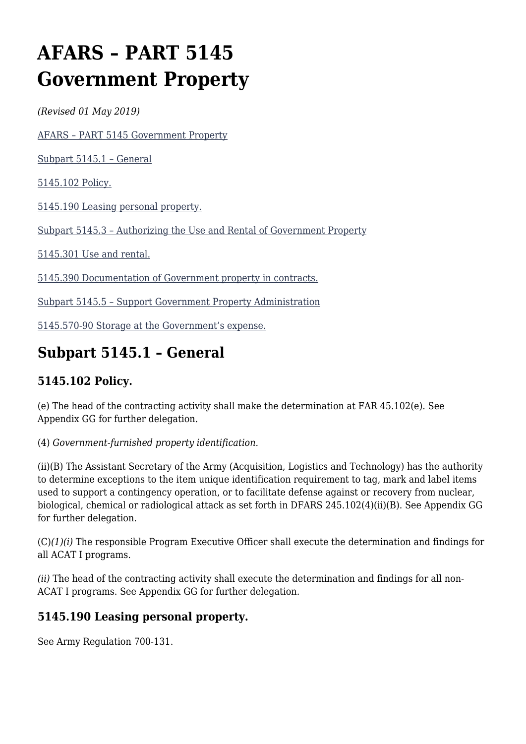# **AFARS – PART 5145 Government Property**

*(Revised 01 May 2019)*

[AFARS – PART 5145 Government Property](#page--1-0)

[Subpart 5145.1 – General](#page--1-0)

[5145.102 Policy.](#page--1-0)

[5145.190 Leasing personal property.](#page--1-0)

[Subpart 5145.3 – Authorizing the Use and Rental of Government Property](#page--1-0)

[5145.301 Use and rental.](#page--1-0)

[5145.390 Documentation of Government property in contracts.](#page--1-0)

[Subpart 5145.5 – Support Government Property Administration](#page--1-0)

[5145.570-90 Storage at the Government's expense.](#page--1-0)

## **Subpart 5145.1 – General**

### **5145.102 Policy.**

(e) The head of the contracting activity shall make the determination at FAR 45.102(e). See Appendix GG for further delegation.

(4) *Government-furnished property identification.*

(ii)(B) The Assistant Secretary of the Army (Acquisition, Logistics and Technology) has the authority to determine exceptions to the item unique identification requirement to tag, mark and label items used to support a contingency operation, or to facilitate defense against or recovery from nuclear, biological, chemical or radiological attack as set forth in DFARS 245.102(4)(ii)(B). See Appendix GG for further delegation.

(C)*(1)(i)* The responsible Program Executive Officer shall execute the determination and findings for all ACAT I programs.

*(ii)* The head of the contracting activity shall execute the determination and findings for all non-ACAT I programs. See Appendix GG for further delegation.

### **5145.190 Leasing personal property.**

See Army Regulation 700-131.